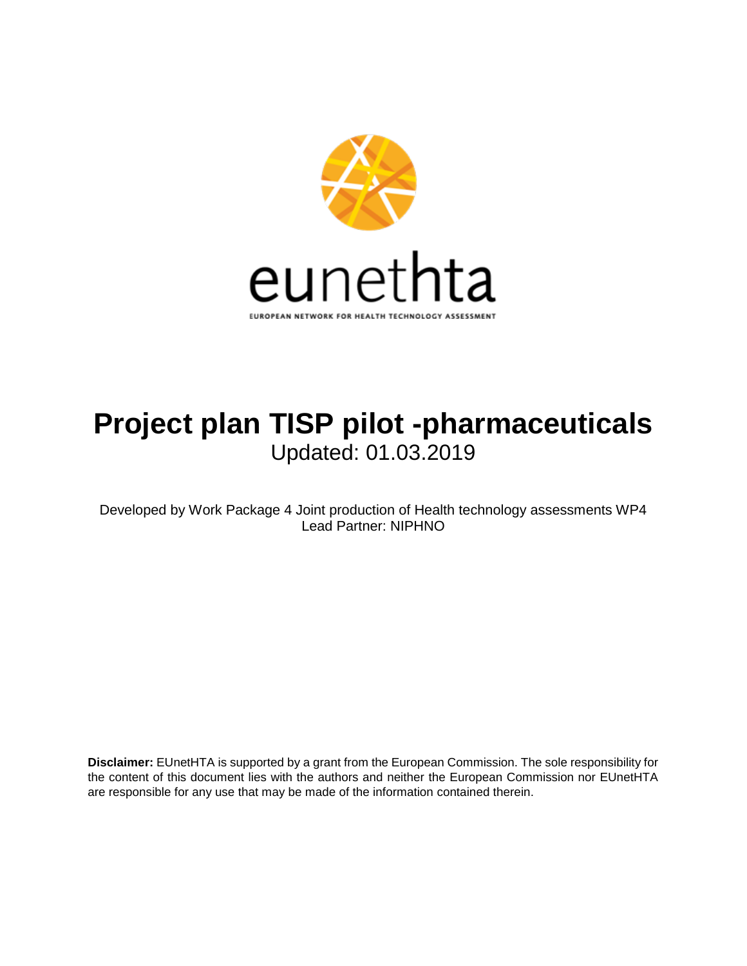

# **Project plan TISP pilot -pharmaceuticals** Updated: 01.03.2019

Developed by Work Package 4 Joint production of Health technology assessments WP4 Lead Partner: NIPHNO

**Disclaimer:** EUnetHTA is supported by a grant from the European Commission. The sole responsibility for the content of this document lies with the authors and neither the European Commission nor EUnetHTA are responsible for any use that may be made of the information contained therein.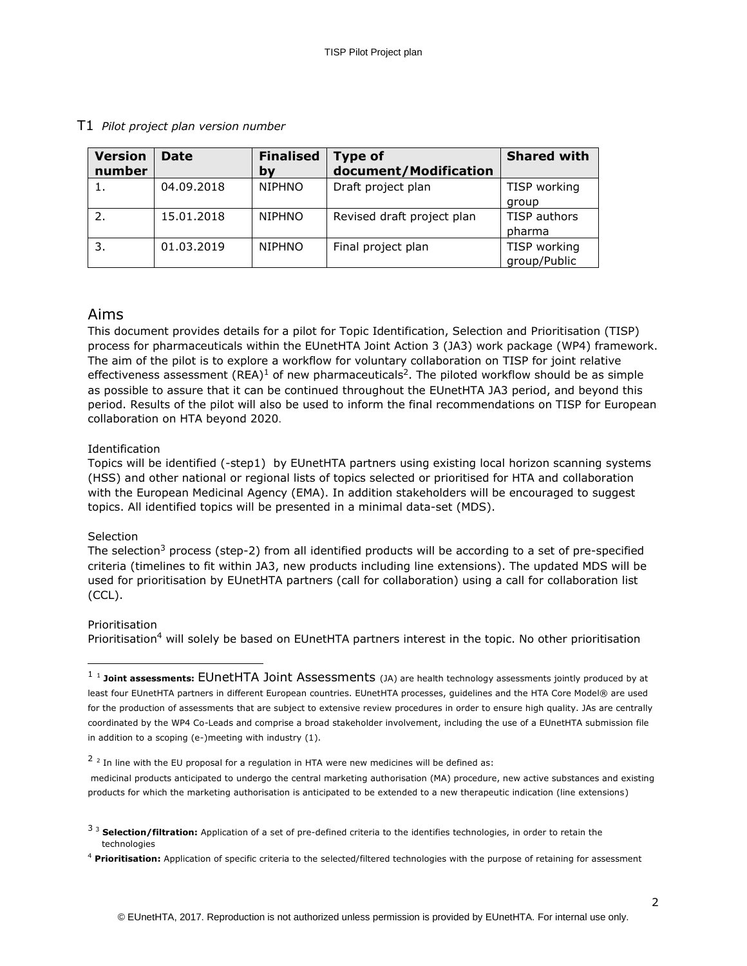| <b>Version</b><br>number | <b>Date</b> | <b>Finalised</b><br>by | <b>Type of</b><br>document/Modification | <b>Shared with</b>           |
|--------------------------|-------------|------------------------|-----------------------------------------|------------------------------|
|                          | 04.09.2018  | <b>NIPHNO</b>          | Draft project plan                      | TISP working<br>group        |
|                          | 15.01.2018  | <b>NIPHNO</b>          | Revised draft project plan              | TISP authors<br>pharma       |
| 3.                       | 01.03.2019  | <b>NIPHNO</b>          | Final project plan                      | TISP working<br>group/Public |

#### T1 *Pilot project plan version number*

### Aims

This document provides details for a pilot for Topic Identification, Selection and Prioritisation (TISP) process for pharmaceuticals within the EUnetHTA Joint Action 3 (JA3) work package (WP4) framework. The aim of the pilot is to explore a workflow for voluntary collaboration on TISP for joint relative effectiveness assessment (REA)<sup>1</sup> of new pharmaceuticals<sup>2</sup>. The piloted workflow should be as simple as possible to assure that it can be continued throughout the EUnetHTA JA3 period, and beyond this period. Results of the pilot will also be used to inform the final recommendations on TISP for European collaboration on HTA beyond 2020.

#### Identification

Topics will be identified (-step1) by EUnetHTA partners using existing local horizon scanning systems (HSS) and other national or regional lists of topics selected or prioritised for HTA and collaboration with the European Medicinal Agency (EMA). In addition stakeholders will be encouraged to suggest topics. All identified topics will be presented in a minimal data-set (MDS).

#### **Selection**

The selection<sup>3</sup> process (step-2) from all identified products will be according to a set of pre-specified criteria (timelines to fit within JA3, new products including line extensions). The updated MDS will be used for prioritisation by EUnetHTA partners (call for collaboration) using a call for collaboration list (CCL).

#### Prioritisation

ł

Prioritisation<sup>4</sup> will solely be based on EUnetHTA partners interest in the topic. No other prioritisation

medicinal products anticipated to undergo the central marketing authorisation (MA) procedure, new active substances and existing products for which the marketing authorisation is anticipated to be extended to a new therapeutic indication (line extensions)

<sup>&</sup>lt;sup>1</sup> 1 Joint assessments: EUnetHTA Joint Assessments (JA) are health technology assessments jointly produced by at least four EUnetHTA partners in different European countries. EUnetHTA processes, guidelines and the HTA Core Model® are used for the production of assessments that are subject to extensive review procedures in order to ensure high quality. JAs are centrally coordinated by the WP4 Co-Leads and comprise a broad stakeholder involvement, including the use of a EUnetHTA submission file in addition to a scoping (e-)meeting with industry (1).

 $2^{2}$  In line with the EU proposal for a regulation in HTA were new medicines will be defined as:

<sup>3</sup> <sup>3</sup> **Selection/filtration:** Application of a set of pre-defined criteria to the identifies technologies, in order to retain the technologies

<sup>4</sup> **Prioritisation:** Application of specific criteria to the selected/filtered technologies with the purpose of retaining for assessment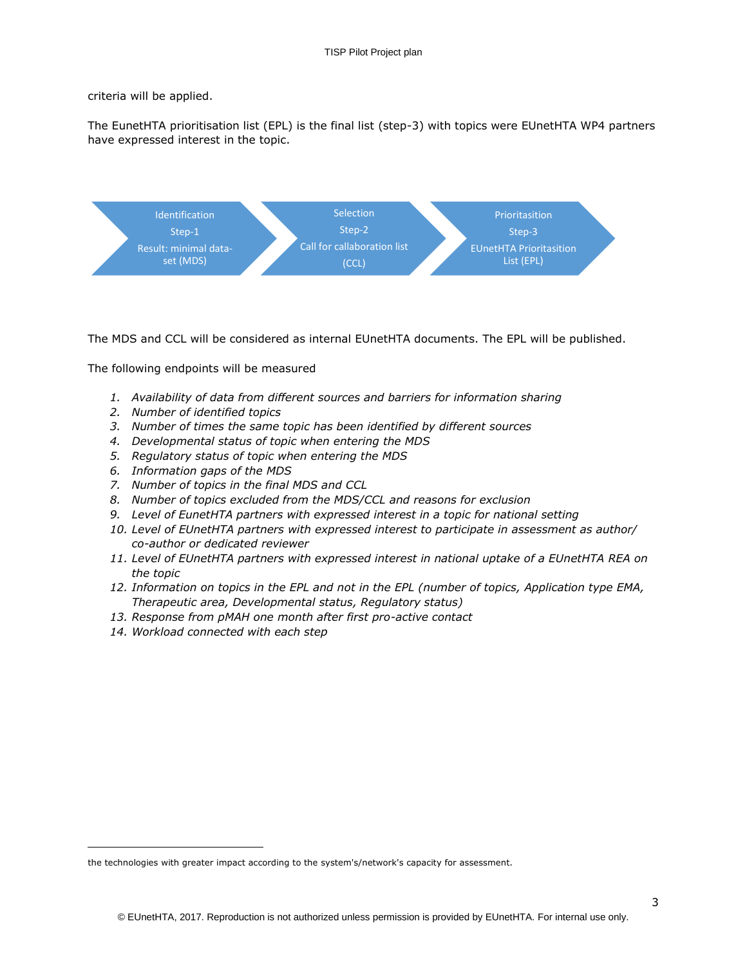criteria will be applied.

The EunetHTA prioritisation list (EPL) is the final list (step-3) with topics were EUnetHTA WP4 partners have expressed interest in the topic.



The MDS and CCL will be considered as internal EUnetHTA documents. The EPL will be published.

The following endpoints will be measured

- *1. Availability of data from different sources and barriers for information sharing*
- *2. Number of identified topics*
- *3. Number of times the same topic has been identified by different sources*
- *4. Developmental status of topic when entering the MDS*
- *5. Regulatory status of topic when entering the MDS*
- *6. Information gaps of the MDS*
- *7. Number of topics in the final MDS and CCL*
- *8. Number of topics excluded from the MDS/CCL and reasons for exclusion*
- *9. Level of EunetHTA partners with expressed interest in a topic for national setting*
- *10. Level of EUnetHTA partners with expressed interest to participate in assessment as author/ co-author or dedicated reviewer*
- *11. Level of EUnetHTA partners with expressed interest in national uptake of a EUnetHTA REA on the topic*
- *12. Information on topics in the EPL and not in the EPL (number of topics, Application type EMA, Therapeutic area, Developmental status, Regulatory status)*
- *13. Response from pMAH one month after first pro-active contact*
- *14. Workload connected with each step*

ł

the technologies with greater impact according to the system's/network's capacity for assessment.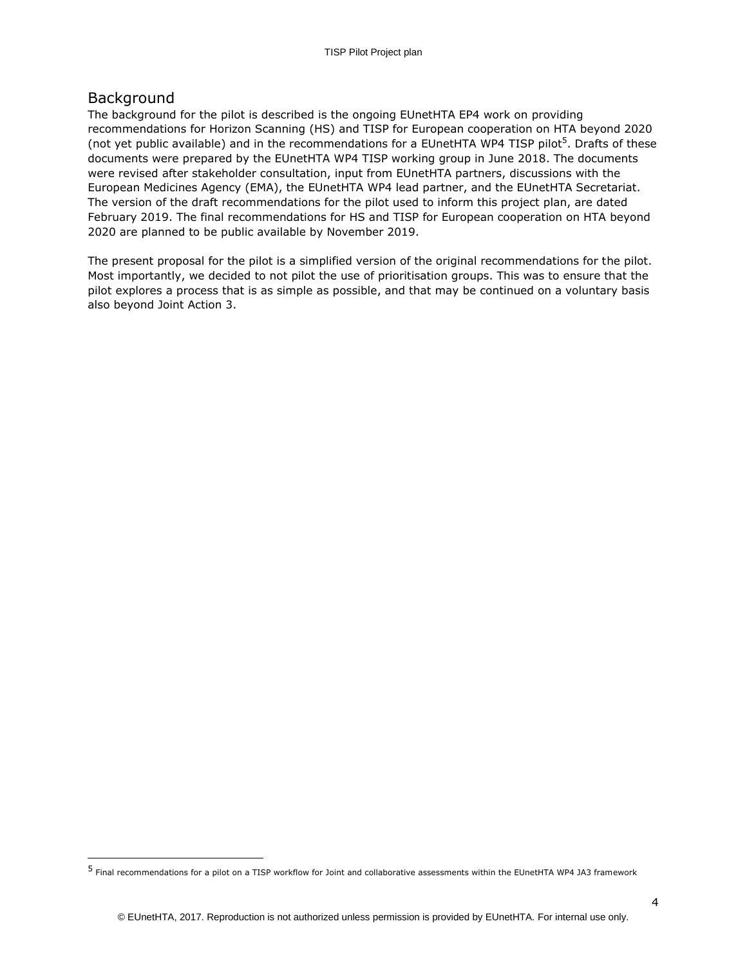### Background

ł

The background for the pilot is described is the ongoing EUnetHTA EP4 work on providing recommendations for Horizon Scanning (HS) and TISP for European cooperation on HTA beyond 2020 (not yet public available) and in the recommendations for a EUnetHTA WP4 TISP pilot<sup>5</sup>. Drafts of these documents were prepared by the EUnetHTA WP4 TISP working group in June 2018. The documents were revised after stakeholder consultation, input from EUnetHTA partners, discussions with the European Medicines Agency (EMA), the EUnetHTA WP4 lead partner, and the EUnetHTA Secretariat. The version of the draft recommendations for the pilot used to inform this project plan, are dated February 2019. The final recommendations for HS and TISP for European cooperation on HTA beyond 2020 are planned to be public available by November 2019.

The present proposal for the pilot is a simplified version of the original recommendations for the pilot. Most importantly, we decided to not pilot the use of prioritisation groups. This was to ensure that the pilot explores a process that is as simple as possible, and that may be continued on a voluntary basis also beyond Joint Action 3.

<sup>&</sup>lt;sup>5</sup> Final recommendations for a pilot on a TISP workflow for Joint and collaborative assessments within the EUnetHTA WP4 JA3 framework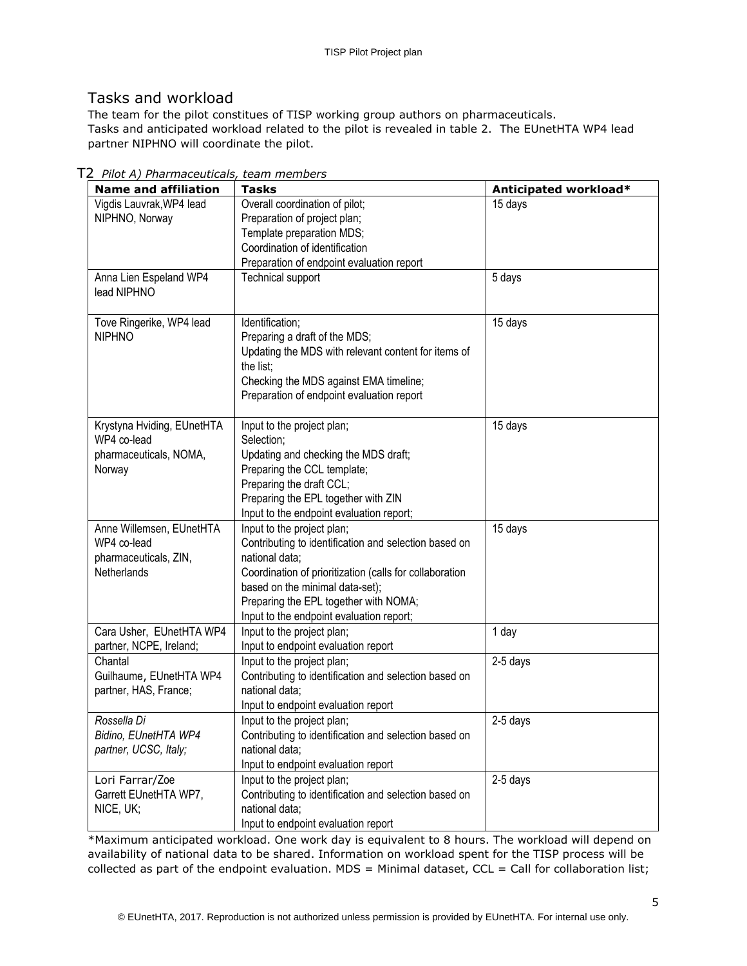# Tasks and workload

The team for the pilot constitues of TISP working group authors on pharmaceuticals. Tasks and anticipated workload related to the pilot is revealed in table 2. The EUnetHTA WP4 lead partner NIPHNO will coordinate the pilot.

| <b>Name and affiliation</b> | <b>Tasks</b>                                            | Anticipated workload* |
|-----------------------------|---------------------------------------------------------|-----------------------|
| Vigdis Lauvrak, WP4 lead    | Overall coordination of pilot;                          | 15 days               |
| NIPHNO, Norway              | Preparation of project plan;                            |                       |
|                             | Template preparation MDS;                               |                       |
|                             | Coordination of identification                          |                       |
|                             | Preparation of endpoint evaluation report               |                       |
| Anna Lien Espeland WP4      | <b>Technical support</b>                                | 5 days                |
| lead NIPHNO                 |                                                         |                       |
|                             |                                                         |                       |
| Tove Ringerike, WP4 lead    | Identification;                                         | 15 days               |
| <b>NIPHNO</b>               | Preparing a draft of the MDS;                           |                       |
|                             | Updating the MDS with relevant content for items of     |                       |
|                             | the list;                                               |                       |
|                             | Checking the MDS against EMA timeline;                  |                       |
|                             | Preparation of endpoint evaluation report               |                       |
| Krystyna Hviding, EUnetHTA  | Input to the project plan;                              | 15 days               |
| WP4 co-lead                 | Selection;                                              |                       |
| pharmaceuticals, NOMA,      | Updating and checking the MDS draft;                    |                       |
| Norway                      | Preparing the CCL template;                             |                       |
|                             | Preparing the draft CCL;                                |                       |
|                             | Preparing the EPL together with ZIN                     |                       |
|                             | Input to the endpoint evaluation report;                |                       |
| Anne Willemsen, EUnetHTA    | Input to the project plan;                              | 15 days               |
| WP4 co-lead                 | Contributing to identification and selection based on   |                       |
| pharmaceuticals, ZIN,       | national data;                                          |                       |
| Netherlands                 | Coordination of prioritization (calls for collaboration |                       |
|                             | based on the minimal data-set);                         |                       |
|                             | Preparing the EPL together with NOMA;                   |                       |
|                             | Input to the endpoint evaluation report;                |                       |
| Cara Usher, EUnetHTA WP4    | Input to the project plan;                              | 1 day                 |
| partner, NCPE, Ireland;     | Input to endpoint evaluation report                     |                       |
| Chantal                     | Input to the project plan;                              | 2-5 days              |
| Guilhaume, EUnetHTA WP4     | Contributing to identification and selection based on   |                       |
| partner, HAS, France;       | national data;                                          |                       |
|                             | Input to endpoint evaluation report                     |                       |
| Rossella Di                 | Input to the project plan;                              | 2-5 days              |
| Bidino, EUnetHTA WP4        | Contributing to identification and selection based on   |                       |
| partner, UCSC, Italy;       | national data;                                          |                       |
|                             | Input to endpoint evaluation report                     |                       |
| Lori Farrar/Zoe             | Input to the project plan;                              | 2-5 days              |
| Garrett EUnetHTA WP7,       | Contributing to identification and selection based on   |                       |
| NICE, UK;                   | national data;                                          |                       |
|                             | Input to endpoint evaluation report                     |                       |

T2 *Pilot A) Pharmaceuticals, team members*

\*Maximum anticipated workload. One work day is equivalent to 8 hours. The workload will depend on availability of national data to be shared. Information on workload spent for the TISP process will be collected as part of the endpoint evaluation.  $MDS = M$ inimal dataset,  $CCL = Call$  for collaboration list;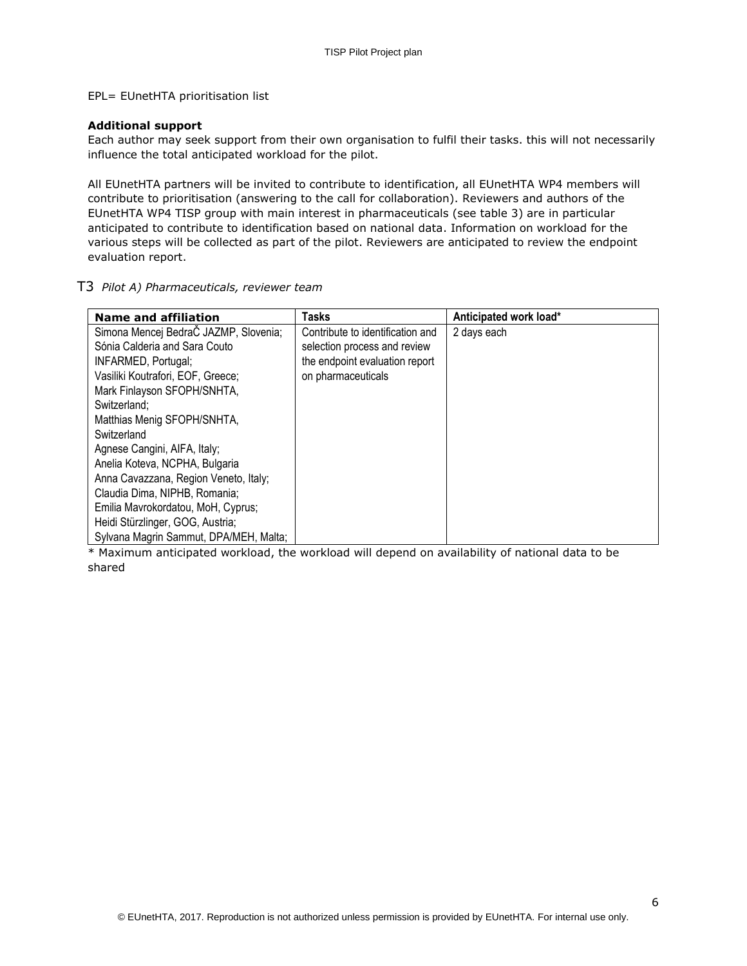EPL= EUnetHTA prioritisation list

#### **Additional support**

Each author may seek support from their own organisation to fulfil their tasks. this will not necessarily influence the total anticipated workload for the pilot.

All EUnetHTA partners will be invited to contribute to identification, all EUnetHTA WP4 members will contribute to prioritisation (answering to the call for collaboration). Reviewers and authors of the EUnetHTA WP4 TISP group with main interest in pharmaceuticals (see table 3) are in particular anticipated to contribute to identification based on national data. Information on workload for the various steps will be collected as part of the pilot. Reviewers are anticipated to review the endpoint evaluation report.

#### T3 *Pilot A) Pharmaceuticals, reviewer team*

| <b>Name and affiliation</b>            | Tasks                            | Anticipated work load* |
|----------------------------------------|----------------------------------|------------------------|
| Simona Mencej BedraČ JAZMP, Slovenia;  | Contribute to identification and | 2 days each            |
| Sónia Calderia and Sara Couto          | selection process and review     |                        |
| INFARMED, Portugal;                    | the endpoint evaluation report   |                        |
| Vasiliki Koutrafori, EOF, Greece;      | on pharmaceuticals               |                        |
| Mark Finlayson SFOPH/SNHTA,            |                                  |                        |
| Switzerland:                           |                                  |                        |
| Matthias Menig SFOPH/SNHTA,            |                                  |                        |
| Switzerland                            |                                  |                        |
| Agnese Cangini, AIFA, Italy;           |                                  |                        |
| Anelia Koteva, NCPHA, Bulgaria         |                                  |                        |
| Anna Cavazzana, Region Veneto, Italy;  |                                  |                        |
| Claudia Dima, NIPHB, Romania;          |                                  |                        |
| Emilia Mavrokordatou, MoH, Cyprus;     |                                  |                        |
| Heidi Stürzlinger, GOG, Austria;       |                                  |                        |
| Sylvana Magrin Sammut, DPA/MEH, Malta; |                                  |                        |

\* Maximum anticipated workload, the workload will depend on availability of national data to be shared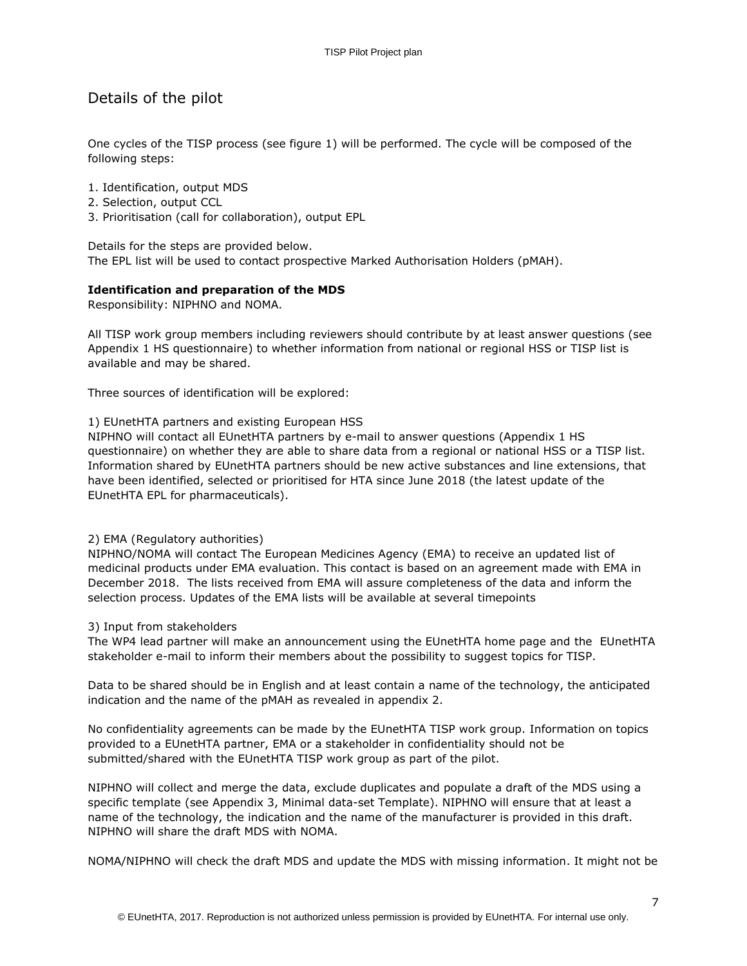# Details of the pilot

One cycles of the TISP process (see figure 1) will be performed. The cycle will be composed of the following steps:

- 1. Identification, output MDS
- 2. Selection, output CCL
- 3. Prioritisation (call for collaboration), output EPL

Details for the steps are provided below. The EPL list will be used to contact prospective Marked Authorisation Holders (pMAH).

#### **Identification and preparation of the MDS**

Responsibility: NIPHNO and NOMA.

All TISP work group members including reviewers should contribute by at least answer questions (see Appendix 1 HS questionnaire) to whether information from national or regional HSS or TISP list is available and may be shared.

Three sources of identification will be explored:

#### 1) EUnetHTA partners and existing European HSS

NIPHNO will contact all EUnetHTA partners by e-mail to answer questions (Appendix 1 HS questionnaire) on whether they are able to share data from a regional or national HSS or a TISP list. Information shared by EUnetHTA partners should be new active substances and line extensions, that have been identified, selected or prioritised for HTA since June 2018 (the latest update of the EUnetHTA EPL for pharmaceuticals).

#### 2) EMA (Regulatory authorities)

NIPHNO/NOMA will contact The European Medicines Agency (EMA) to receive an updated list of medicinal products under EMA evaluation. This contact is based on an agreement made with EMA in December 2018. The lists received from EMA will assure completeness of the data and inform the selection process. Updates of the EMA lists will be available at several timepoints

#### 3) Input from stakeholders

The WP4 lead partner will make an announcement using the EUnetHTA home page and the EUnetHTA stakeholder e-mail to inform their members about the possibility to suggest topics for TISP.

Data to be shared should be in English and at least contain a name of the technology, the anticipated indication and the name of the pMAH as revealed in appendix 2.

No confidentiality agreements can be made by the EUnetHTA TISP work group. Information on topics provided to a EUnetHTA partner, EMA or a stakeholder in confidentiality should not be submitted/shared with the EUnetHTA TISP work group as part of the pilot.

NIPHNO will collect and merge the data, exclude duplicates and populate a draft of the MDS using a specific template (see Appendix 3, Minimal data-set Template). NIPHNO will ensure that at least a name of the technology, the indication and the name of the manufacturer is provided in this draft. NIPHNO will share the draft MDS with NOMA.

NOMA/NIPHNO will check the draft MDS and update the MDS with missing information. It might not be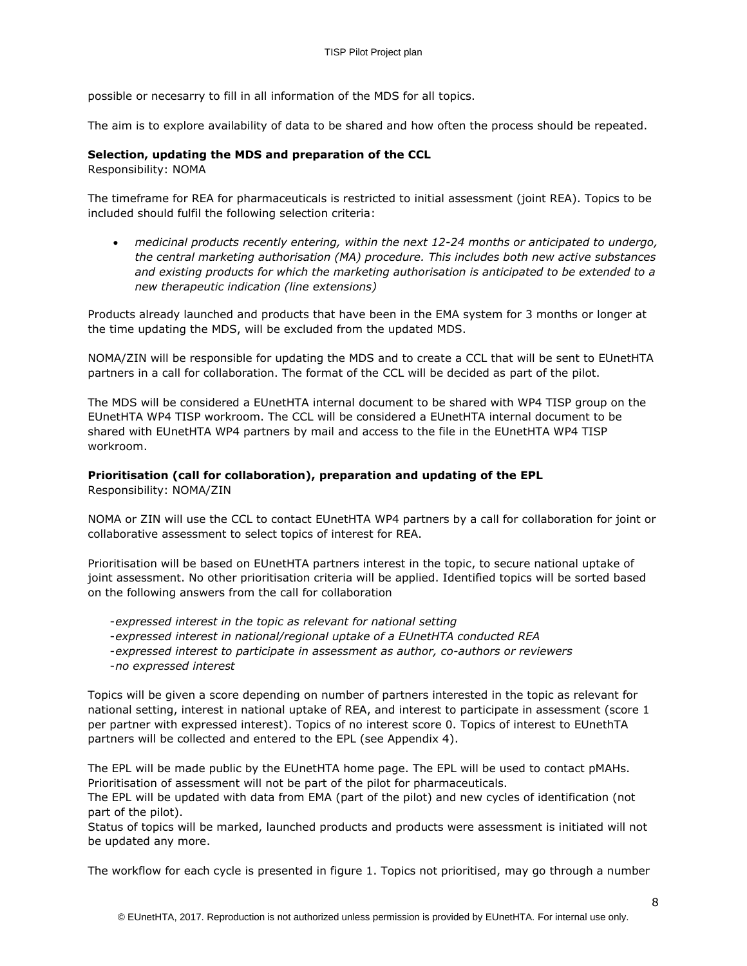possible or necesarry to fill in all information of the MDS for all topics.

The aim is to explore availability of data to be shared and how often the process should be repeated.

#### **Selection, updating the MDS and preparation of the CCL**

Responsibility: NOMA

The timeframe for REA for pharmaceuticals is restricted to initial assessment (joint REA). Topics to be included should fulfil the following selection criteria:

 *medicinal products recently entering, within the next 12-24 months or anticipated to undergo, the central marketing authorisation (MA) procedure. This includes both new active substances and existing products for which the marketing authorisation is anticipated to be extended to a new therapeutic indication (line extensions)* 

Products already launched and products that have been in the EMA system for 3 months or longer at the time updating the MDS, will be excluded from the updated MDS.

NOMA/ZIN will be responsible for updating the MDS and to create a CCL that will be sent to EUnetHTA partners in a call for collaboration. The format of the CCL will be decided as part of the pilot.

The MDS will be considered a EUnetHTA internal document to be shared with WP4 TISP group on the EUnetHTA WP4 TISP workroom. The CCL will be considered a EUnetHTA internal document to be shared with EUnetHTA WP4 partners by mail and access to the file in the EUnetHTA WP4 TISP workroom.

### **Prioritisation (call for collaboration), preparation and updating of the EPL**

Responsibility: NOMA/ZIN

NOMA or ZIN will use the CCL to contact EUnetHTA WP4 partners by a call for collaboration for joint or collaborative assessment to select topics of interest for REA.

Prioritisation will be based on EUnetHTA partners interest in the topic, to secure national uptake of joint assessment. No other prioritisation criteria will be applied. Identified topics will be sorted based on the following answers from the call for collaboration

-*expressed interest in the topic as relevant for national setting* 

- -*expressed interest in national/regional uptake of a EUnetHTA conducted REA*
- -*expressed interest to participate in assessment as author, co-authors or reviewers* -*no expressed interest*

Topics will be given a score depending on number of partners interested in the topic as relevant for national setting, interest in national uptake of REA, and interest to participate in assessment (score 1 per partner with expressed interest). Topics of no interest score 0. Topics of interest to EUnethTA partners will be collected and entered to the EPL (see Appendix 4).

The EPL will be made public by the EUnetHTA home page. The EPL will be used to contact pMAHs. Prioritisation of assessment will not be part of the pilot for pharmaceuticals.

The EPL will be updated with data from EMA (part of the pilot) and new cycles of identification (not part of the pilot).

Status of topics will be marked, launched products and products were assessment is initiated will not be updated any more.

The workflow for each cycle is presented in figure 1. Topics not prioritised, may go through a number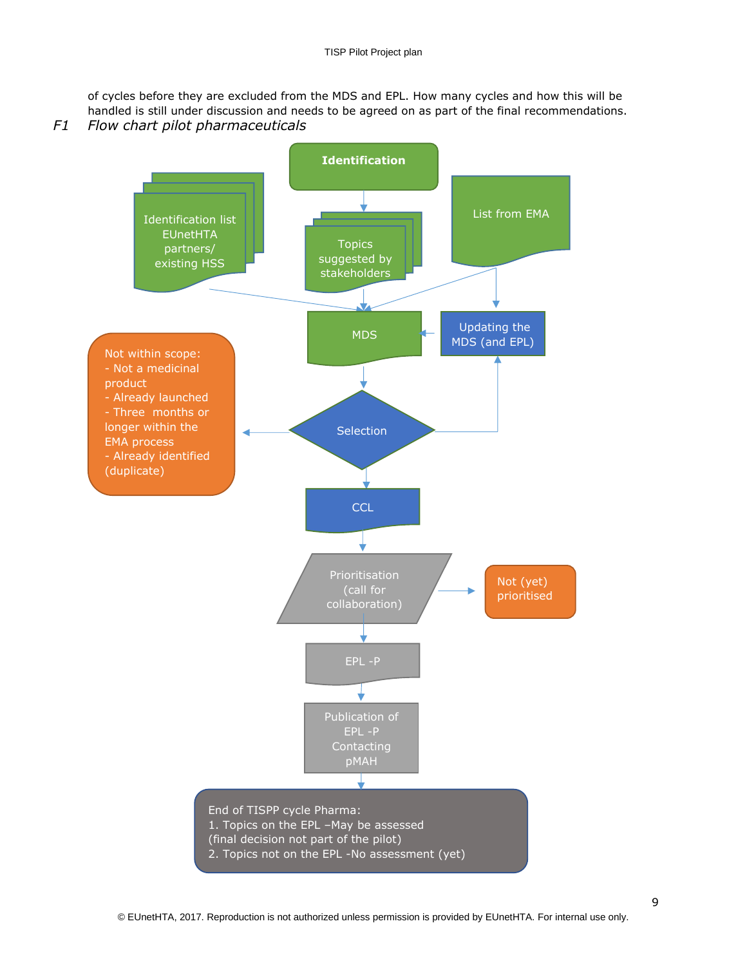of cycles before they are excluded from the MDS and EPL. How many cycles and how this will be handled is still under discussion and needs to be agreed on as part of the final recommendations. *F1 Flow chart pilot pharmaceuticals*

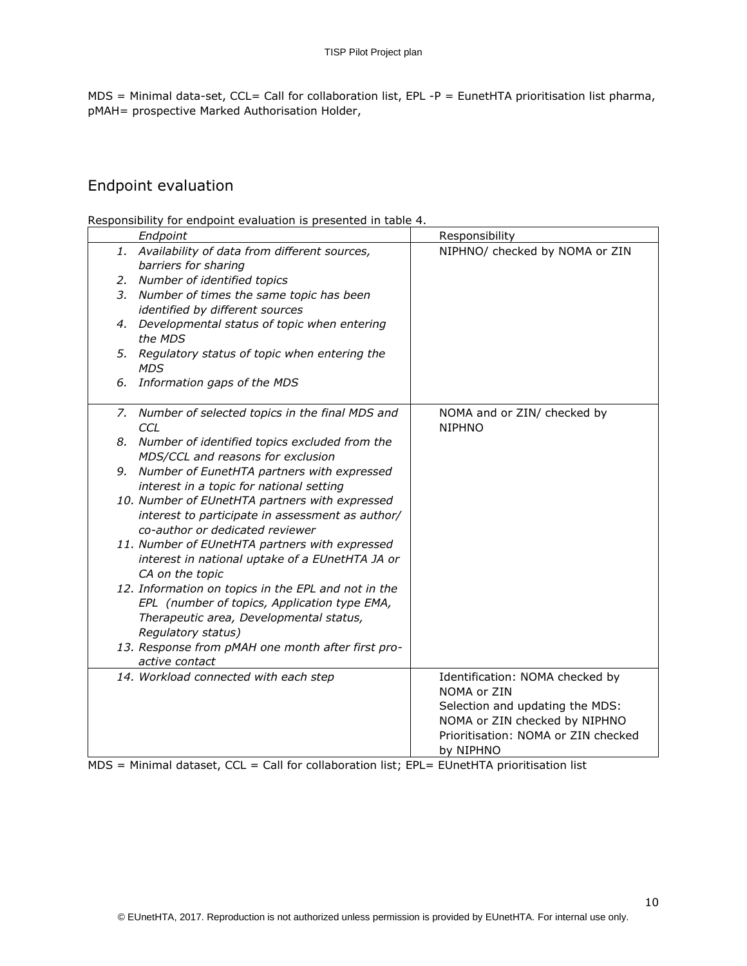$MDS =$  Minimal data-set, CCL= Call for collaboration list, EPL -P = EunetHTA prioritisation list pharma, pMAH= prospective Marked Authorisation Holder,

# Endpoint evaluation

Responsibility for endpoint evaluation is presented in table 4.

|    | Endpoint                                                                                            | Responsibility                      |
|----|-----------------------------------------------------------------------------------------------------|-------------------------------------|
|    | 1. Availability of data from different sources,                                                     | NIPHNO/ checked by NOMA or ZIN      |
|    | barriers for sharing                                                                                |                                     |
| 2. | Number of identified topics                                                                         |                                     |
| 3. | Number of times the same topic has been                                                             |                                     |
|    | identified by different sources                                                                     |                                     |
| 4. | Developmental status of topic when entering                                                         |                                     |
|    | the MDS                                                                                             |                                     |
| 5. | Regulatory status of topic when entering the<br><b>MDS</b>                                          |                                     |
| 6. | Information gaps of the MDS                                                                         |                                     |
|    |                                                                                                     |                                     |
| 7. | Number of selected topics in the final MDS and                                                      | NOMA and or ZIN/ checked by         |
|    | CCL                                                                                                 | <b>NIPHNO</b>                       |
| 8. | Number of identified topics excluded from the                                                       |                                     |
|    | MDS/CCL and reasons for exclusion                                                                   |                                     |
| 9. | Number of EunetHTA partners with expressed                                                          |                                     |
|    | interest in a topic for national setting                                                            |                                     |
|    | 10. Number of EUnetHTA partners with expressed                                                      |                                     |
|    | interest to participate in assessment as author/                                                    |                                     |
|    | co-author or dedicated reviewer                                                                     |                                     |
|    | 11. Number of EUnetHTA partners with expressed                                                      |                                     |
|    | interest in national uptake of a EUnetHTA JA or                                                     |                                     |
|    | CA on the topic                                                                                     |                                     |
|    | 12. Information on topics in the EPL and not in the<br>EPL (number of topics, Application type EMA, |                                     |
|    | Therapeutic area, Developmental status,                                                             |                                     |
|    | Regulatory status)                                                                                  |                                     |
|    | 13. Response from pMAH one month after first pro-                                                   |                                     |
|    | active contact                                                                                      |                                     |
|    | 14. Workload connected with each step                                                               | Identification: NOMA checked by     |
|    |                                                                                                     | NOMA or ZIN                         |
|    |                                                                                                     | Selection and updating the MDS:     |
|    |                                                                                                     | NOMA or ZIN checked by NIPHNO       |
|    |                                                                                                     | Prioritisation: NOMA or ZIN checked |
|    |                                                                                                     | by NIPHNO                           |

MDS = Minimal dataset, CCL = Call for collaboration list; EPL= EUnetHTA prioritisation list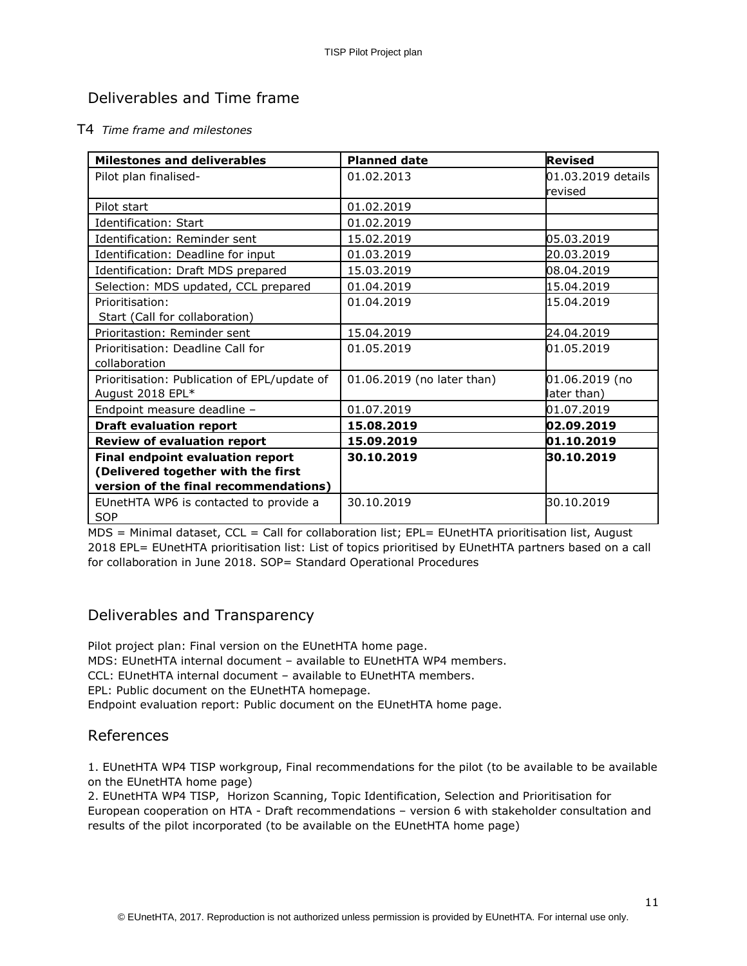# Deliverables and Time frame

#### T4 *Time frame and milestones*

| <b>Milestones and deliverables</b>           | <b>Planned date</b>        | <b>Revised</b>     |
|----------------------------------------------|----------------------------|--------------------|
| Pilot plan finalised-                        | 01.02.2013                 | 01.03.2019 details |
|                                              |                            | revised            |
| Pilot start                                  | 01.02.2019                 |                    |
| Identification: Start                        | 01.02.2019                 |                    |
| Identification: Reminder sent                | 15.02.2019                 | 05.03.2019         |
| Identification: Deadline for input           | 01.03.2019                 | 20.03.2019         |
| Identification: Draft MDS prepared           | 15.03.2019                 | 08.04.2019         |
| Selection: MDS updated, CCL prepared         | 01.04.2019                 | 15.04.2019         |
| Prioritisation:                              | 01.04.2019                 | 15.04.2019         |
| Start (Call for collaboration)               |                            |                    |
| Prioritastion: Reminder sent                 | 15.04.2019                 | 24.04.2019         |
| Prioritisation: Deadline Call for            | 01.05.2019                 | 01.05.2019         |
| collaboration                                |                            |                    |
| Prioritisation: Publication of EPL/update of | 01.06.2019 (no later than) | 01.06.2019 (no     |
| August 2018 EPL*                             |                            | later than)        |
| Endpoint measure deadline -                  | 01.07.2019                 | 01.07.2019         |
| <b>Draft evaluation report</b>               | 15.08.2019                 | 02.09.2019         |
| <b>Review of evaluation report</b>           | 15.09.2019                 | 01.10.2019         |
| <b>Final endpoint evaluation report</b>      | 30.10.2019                 | 30.10.2019         |
| (Delivered together with the first           |                            |                    |
| version of the final recommendations)        |                            |                    |
| EUnetHTA WP6 is contacted to provide a       | 30.10.2019                 | 30.10.2019         |
| <b>SOP</b>                                   |                            |                    |

MDS = Minimal dataset, CCL = Call for collaboration list; EPL= EUnetHTA prioritisation list, August 2018 EPL= EUnetHTA prioritisation list: List of topics prioritised by EUnetHTA partners based on a call for collaboration in June 2018. SOP= Standard Operational Procedures

# Deliverables and Transparency

Pilot project plan: Final version on the EUnetHTA home page. MDS: EUnetHTA internal document – available to EUnetHTA WP4 members. CCL: EUnetHTA internal document – available to EUnetHTA members. EPL: Public document on the EUnetHTA homepage. Endpoint evaluation report: Public document on the EUnetHTA home page.

### References

1. EUnetHTA WP4 TISP workgroup, Final recommendations for the pilot (to be available to be available on the EUnetHTA home page)

2. EUnetHTA WP4 TISP, Horizon Scanning, Topic Identification, Selection and Prioritisation for European cooperation on HTA - Draft recommendations – version 6 with stakeholder consultation and results of the pilot incorporated (to be available on the EUnetHTA home page)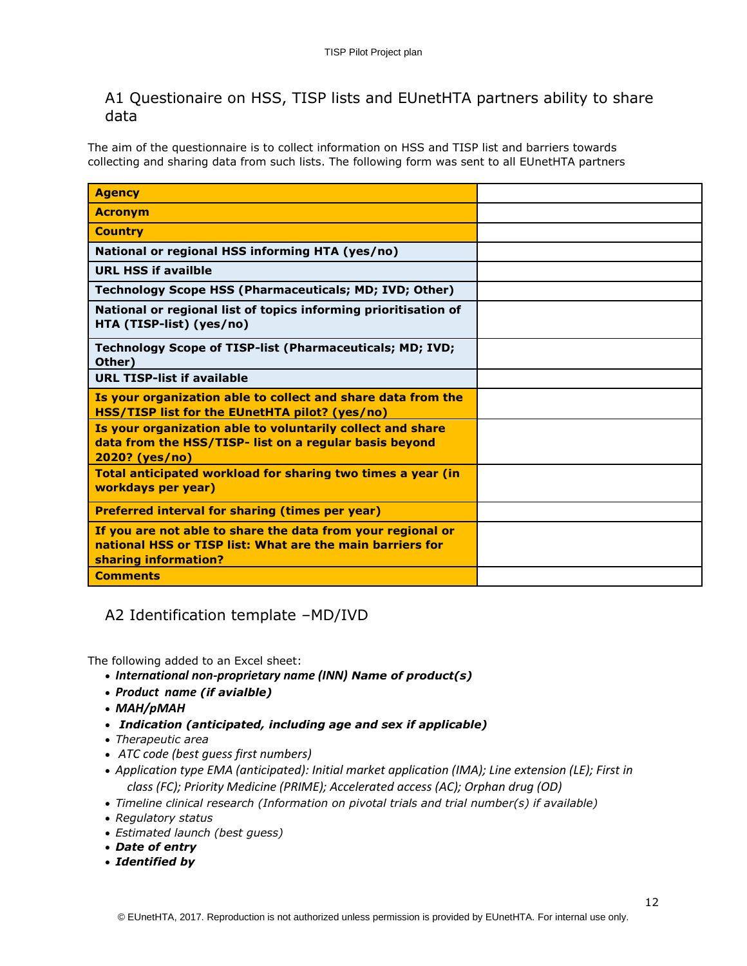# A1 Questionaire on HSS, TISP lists and EUnetHTA partners ability to share data

The aim of the questionnaire is to collect information on HSS and TISP list and barriers towards collecting and sharing data from such lists. The following form was sent to all EUnetHTA partners

| <b>Agency</b>                                                                                                                                    |  |
|--------------------------------------------------------------------------------------------------------------------------------------------------|--|
| <b>Acronym</b>                                                                                                                                   |  |
| <b>Country</b>                                                                                                                                   |  |
| National or regional HSS informing HTA (yes/no)                                                                                                  |  |
| <b>URL HSS if availble</b>                                                                                                                       |  |
| <b>Technology Scope HSS (Pharmaceuticals; MD; IVD; Other)</b>                                                                                    |  |
| National or regional list of topics informing prioritisation of<br>HTA (TISP-list) (yes/no)                                                      |  |
| Technology Scope of TISP-list (Pharmaceuticals; MD; IVD;<br>Other)                                                                               |  |
| <b>URL TISP-list if available</b>                                                                                                                |  |
| Is your organization able to collect and share data from the<br><b>HSS/TISP list for the EUnetHTA pilot? (yes/no)</b>                            |  |
| Is your organization able to voluntarily collect and share<br>data from the HSS/TISP- list on a regular basis beyond<br>2020? (yes/no)           |  |
| Total anticipated workload for sharing two times a year (in<br>workdays per year)                                                                |  |
| <b>Preferred interval for sharing (times per year)</b>                                                                                           |  |
| If you are not able to share the data from your regional or<br>national HSS or TISP list: What are the main barriers for<br>sharing information? |  |
| <b>Comments</b>                                                                                                                                  |  |

# A2 Identification template –MD/IVD

The following added to an Excel sheet:

- *International non-proprietary name (INN) Name of product(s)*
- *Product name (if avialble)*
- *MAH/pMAH*
- *Indication (anticipated, including age and sex if applicable)*
- *Therapeutic area*
- *ATC code (best guess first numbers)*
- *Application type EMA (anticipated): Initial market application (IMA); Line extension (LE); First in class (FC); Priority Medicine (PRIME); Accelerated access (AC); Orphan drug (OD)*
- *Timeline clinical research (Information on pivotal trials and trial number(s) if available)*
- *Regulatory status*
- *Estimated launch (best guess)*
- *Date of entry*
- *Identified by*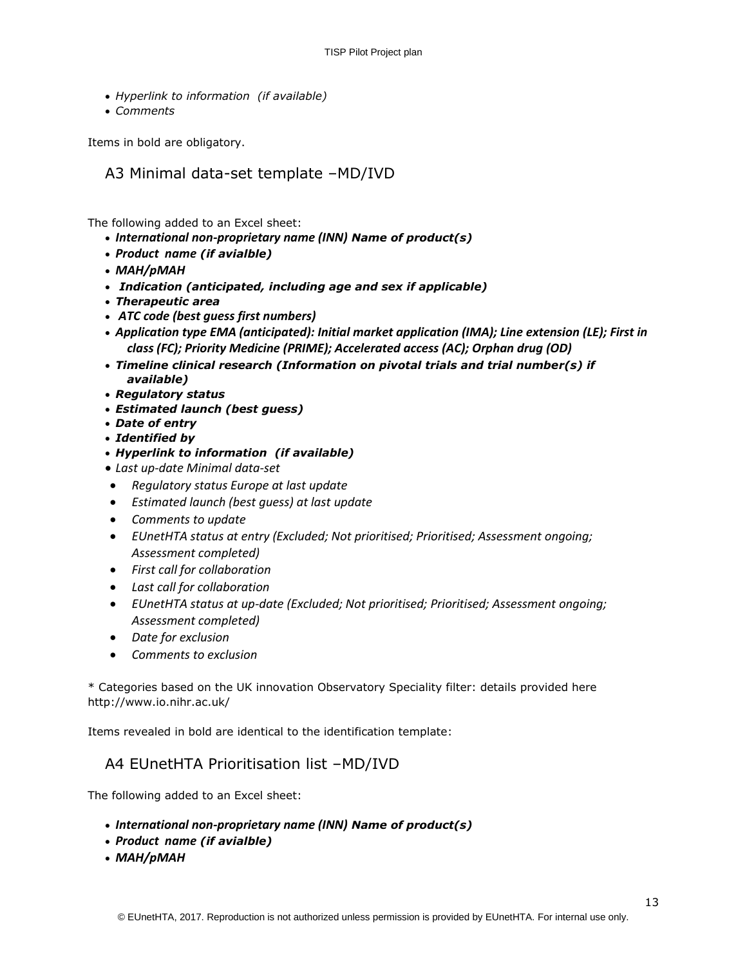- *Hyperlink to information (if available)*
- *Comments*

Items in bold are obligatory.

A3 Minimal data-set template –MD/IVD

The following added to an Excel sheet:

- *International non-proprietary name (INN) Name of product(s)*
- *Product name (if avialble)*
- *MAH/pMAH*
- *Indication (anticipated, including age and sex if applicable)*
- *Therapeutic area*
- *ATC code (best guess first numbers)*
- *Application type EMA (anticipated): Initial market application (IMA); Line extension (LE); First in class (FC); Priority Medicine (PRIME); Accelerated access (AC); Orphan drug (OD)*
- *Timeline clinical research (Information on pivotal trials and trial number(s) if available)*
- *Regulatory status*
- *Estimated launch (best guess)*
- *Date of entry*
- *Identified by*
- *Hyperlink to information (if available)*
- *Last up-date Minimal data-set*
- *Regulatory status Europe at last update*
- *Estimated launch (best guess) at last update*
- *Comments to update*
- *EUnetHTA status at entry (Excluded; Not prioritised; Prioritised; Assessment ongoing; Assessment completed)*
- *First call for collaboration*
- *Last call for collaboration*
- *EUnetHTA status at up-date (Excluded; Not prioritised; Prioritised; Assessment ongoing; Assessment completed)*
- *Date for exclusion*
- *Comments to exclusion*

\* Categories based on the UK innovation Observatory Speciality filter: details provided here http://www.io.nihr.ac.uk/

Items revealed in bold are identical to the identification template:

# A4 EUnetHTA Prioritisation list –MD/IVD

The following added to an Excel sheet:

- *International non-proprietary name (INN) Name of product(s)*
- *Product name (if avialble)*
- *MAH/pMAH*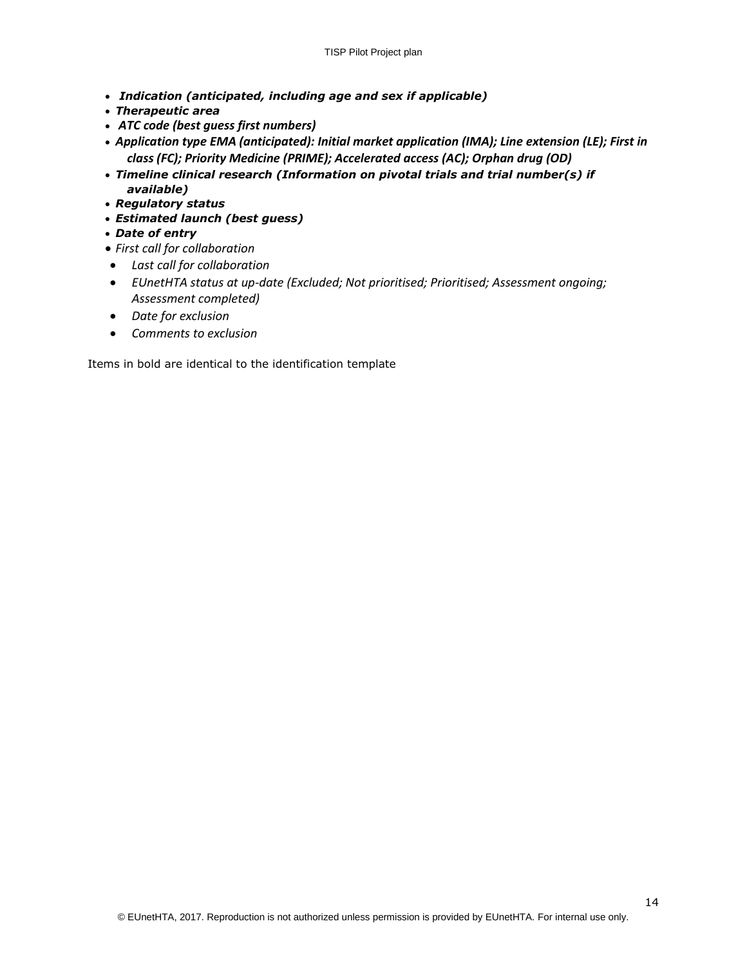- *Indication (anticipated, including age and sex if applicable)*
- *Therapeutic area*
- *ATC code (best guess first numbers)*
- *Application type EMA (anticipated): Initial market application (IMA); Line extension (LE); First in class (FC); Priority Medicine (PRIME); Accelerated access (AC); Orphan drug (OD)*
- *Timeline clinical research (Information on pivotal trials and trial number(s) if available)*
- *Regulatory status*
- *Estimated launch (best guess)*
- *Date of entry*
- *First call for collaboration*
- *Last call for collaboration*
- *EUnetHTA status at up-date (Excluded; Not prioritised; Prioritised; Assessment ongoing; Assessment completed)*
- *Date for exclusion*
- *Comments to exclusion*

Items in bold are identical to the identification template